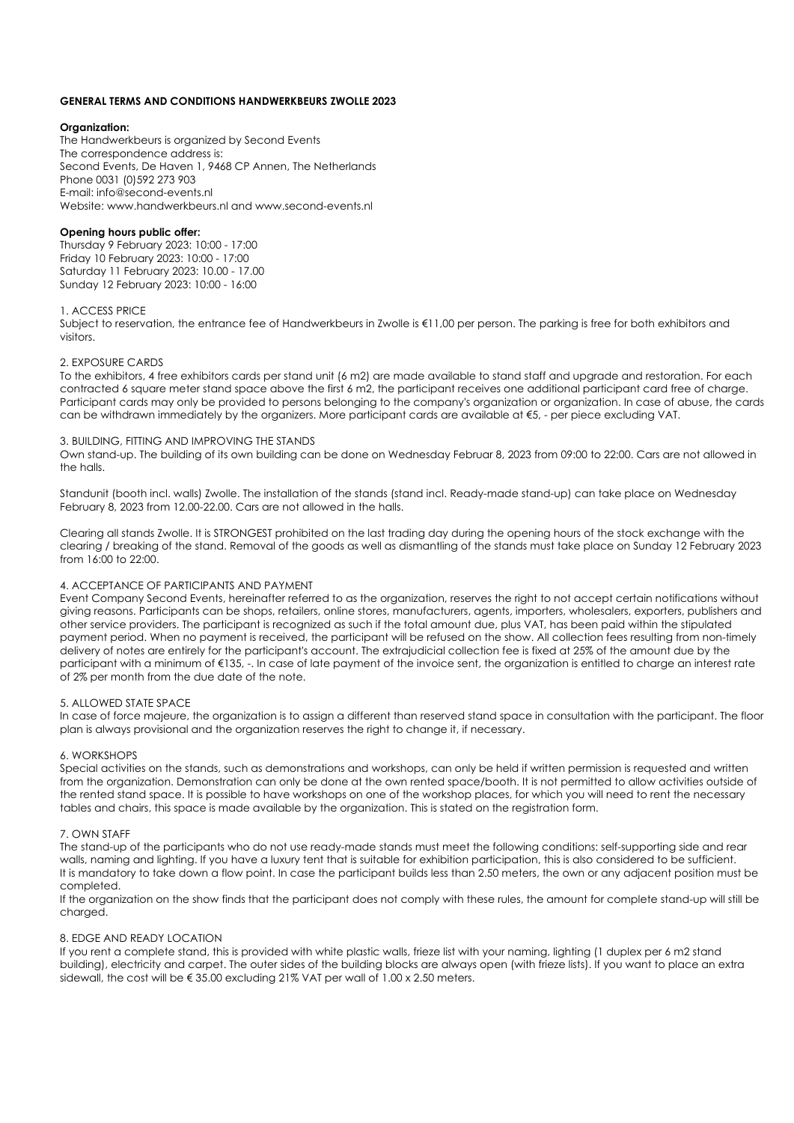## **GENERAL TERMS AND CONDITIONS HANDWERKBEURS ZWOLLE 2023**

## **Organization:**

The Handwerkbeurs is organized by Second Events The correspondence address is: Second Events, De Haven 1, 9468 CP Annen, The Netherlands Phone 0031 (0)592 273 903 E-mail: info@second-events.nl Website: www.handwerkbeurs.nl and www.second-events.nl

# **Opening hours public offer:**

Thursday 9 February 2023: 10:00 - 17:00 Friday 10 February 2023: 10:00 - 17:00 Saturday 11 February 2023: 10.00 - 17.00 Sunday 12 February 2023: 10:00 - 16:00

### 1. ACCESS PRICE

Subject to reservation, the entrance fee of Handwerkbeurs in Zwolle is €11,00 per person. The parking is free for both exhibitors and visitors.

### 2. EXPOSURE CARDS

To the exhibitors, 4 free exhibitors cards per stand unit (6 m2) are made available to stand staff and upgrade and restoration. For each contracted 6 square meter stand space above the first 6 m2, the participant receives one additional participant card free of charge. Participant cards may only be provided to persons belonging to the company's organization or organization. In case of abuse, the cards can be withdrawn immediately by the organizers. More participant cards are available at €5, - per piece excluding VAT.

## 3. BUILDING, FITTING AND IMPROVING THE STANDS

Own stand-up. The building of its own building can be done on Wednesday Februar 8, 2023 from 09:00 to 22:00. Cars are not allowed in the halls.

Standunit (booth incl. walls) Zwolle. The installation of the stands (stand incl. Ready-made stand-up) can take place on Wednesday February 8, 2023 from 12.00-22.00. Cars are not allowed in the halls.

Clearing all stands Zwolle. It is STRONGEST prohibited on the last trading day during the opening hours of the stock exchange with the clearing / breaking of the stand. Removal of the goods as well as dismantling of the stands must take place on Sunday 12 February 2023 from 16:00 to 22:00.

## 4. ACCEPTANCE OF PARTICIPANTS AND PAYMENT

Event Company Second Events, hereinafter referred to as the organization, reserves the right to not accept certain notifications without giving reasons. Participants can be shops, retailers, online stores, manufacturers, agents, importers, wholesalers, exporters, publishers and other service providers. The participant is recognized as such if the total amount due, plus VAT, has been paid within the stipulated payment period. When no payment is received, the participant will be refused on the show. All collection fees resulting from non-timely delivery of notes are entirely for the participant's account. The extrajudicial collection fee is fixed at 25% of the amount due by the participant with a minimum of €135, -. In case of late payment of the invoice sent, the organization is entitled to charge an interest rate of 2% per month from the due date of the note.

### 5. ALLOWED STATE SPACE

In case of force majeure, the organization is to assign a different than reserved stand space in consultation with the participant. The floor plan is always provisional and the organization reserves the right to change it, if necessary.

### 6. WORKSHOPS

Special activities on the stands, such as demonstrations and workshops, can only be held if written permission is requested and written from the organization. Demonstration can only be done at the own rented space/booth. It is not permitted to allow activities outside of the rented stand space. It is possible to have workshops on one of the workshop places, for which you will need to rent the necessary tables and chairs, this space is made available by the organization. This is stated on the registration form.

### 7. OWN STAFF

The stand-up of the participants who do not use ready-made stands must meet the following conditions: self-supporting side and rear walls, naming and lighting. If you have a luxury tent that is suitable for exhibition participation, this is also considered to be sufficient. It is mandatory to take down a flow point. In case the participant builds less than 2.50 meters, the own or any adjacent position must be completed.

If the organization on the show finds that the participant does not comply with these rules, the amount for complete stand-up will still be charged.

### 8. EDGE AND READY LOCATION

If you rent a complete stand, this is provided with white plastic walls, frieze list with your naming, lighting (1 duplex per 6 m2 stand building), electricity and carpet. The outer sides of the building blocks are always open (with frieze lists). If you want to place an extra sidewall, the cost will be € 35.00 excluding 21% VAT per wall of 1.00 x 2.50 meters.